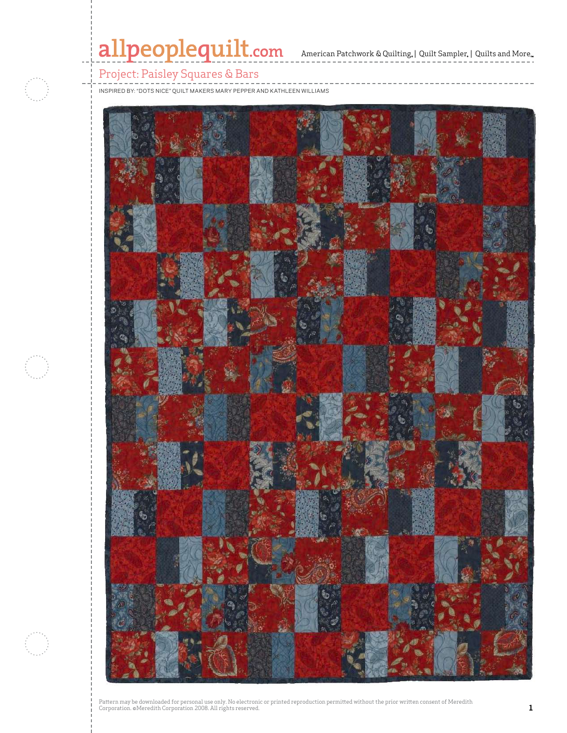# allpeoplequilt.com<br>American Patchwork & Quilting, | Quilt Sampler, | Quilts and More...

# Project: Paisley Squares & Bars

inspired by: "Dots Nice" quilt makers mary pepper and kathleen williams